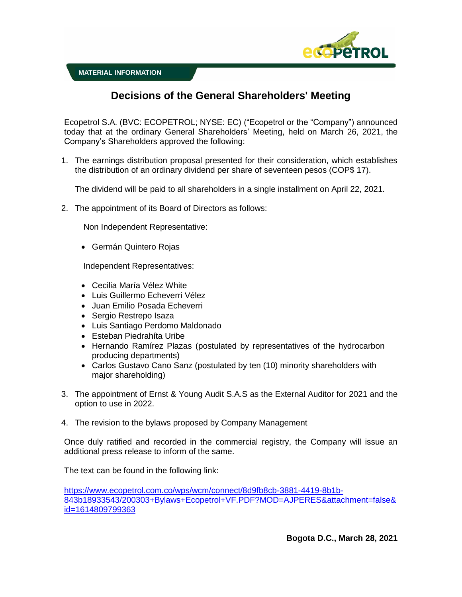

## **Decisions of the General Shareholders' Meeting**

Ecopetrol S.A. (BVC: ECOPETROL; NYSE: EC) ("Ecopetrol or the "Company") announced today that at the ordinary General Shareholders' Meeting, held on March 26, 2021, the Company's Shareholders approved the following:

1. The earnings distribution proposal presented for their consideration, which establishes the distribution of an ordinary dividend per share of seventeen pesos (COP\$ 17).

The dividend will be paid to all shareholders in a single installment on April 22, 2021.

2. The appointment of its Board of Directors as follows:

Non Independent Representative:

Germán Quintero Rojas

Independent Representatives:

- Cecilia María Vélez White
- Luis Guillermo Echeverri Vélez
- Juan Emilio Posada Echeverri
- Sergio Restrepo Isaza
- Luis Santiago Perdomo Maldonado
- Esteban Piedrahíta Uribe
- Hernando Ramírez Plazas (postulated by representatives of the hydrocarbon producing departments)
- Carlos Gustavo Cano Sanz (postulated by ten (10) minority shareholders with major shareholding)
- 3. The appointment of Ernst & Young Audit S.A.S as the External Auditor for 2021 and the option to use in 2022.
- 4. The revision to the bylaws proposed by Company Management

Once duly ratified and recorded in the commercial registry, the Company will issue an additional press release to inform of the same.

The text can be found in the following link:

[https://www.ecopetrol.com.co/wps/wcm/connect/8d9fb8cb-3881-4419-8b1b-](https://www.ecopetrol.com.co/wps/wcm/connect/8d9fb8cb-3881-4419-8b1b-843b18933543/200303+Bylaws+Ecopetrol+VF.PDF?MOD=AJPERES&attachment=false&id=1614809799363)[843b18933543/200303+Bylaws+Ecopetrol+VF.PDF?MOD=AJPERES&attachment=false&](https://www.ecopetrol.com.co/wps/wcm/connect/8d9fb8cb-3881-4419-8b1b-843b18933543/200303+Bylaws+Ecopetrol+VF.PDF?MOD=AJPERES&attachment=false&id=1614809799363) [id=1614809799363](https://www.ecopetrol.com.co/wps/wcm/connect/8d9fb8cb-3881-4419-8b1b-843b18933543/200303+Bylaws+Ecopetrol+VF.PDF?MOD=AJPERES&attachment=false&id=1614809799363)